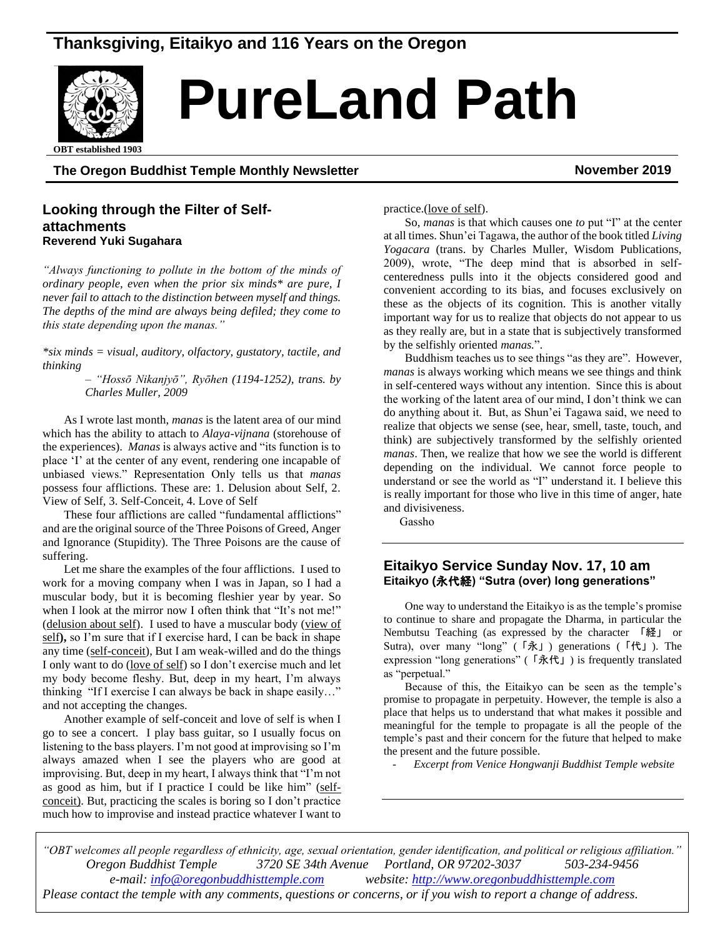# **Thanksgiving, Eitaikyo and 116 Years on the Oregon**



# *Real* PureLand Path

**OBT** established 1903

**The Oregon Buddhist Temple Monthly Newsletter November 2019**

#### **Looking through the Filter of Selfattachments Reverend Yuki Sugahara**

*"Always functioning to pollute in the bottom of the minds of ordinary people, even when the prior six minds\* are pure, I never fail to attach to the distinction between myself and things. The depths of the mind are always being defiled; they come to this state depending upon the manas."*

*\*six minds = visual, auditory, olfactory, gustatory, tactile, and thinking* 

> *– "Hossō Nikanjyō", Ryōhen (1194-1252), trans. by Charles Muller, 2009*

As I wrote last month, *manas* is the latent area of our mind which has the ability to attach to *Alaya-vijnana* (storehouse of the experiences). *Manas* is always active and "its function is to place 'I' at the center of any event, rendering one incapable of unbiased views." Representation Only tells us that *manas*  possess four afflictions. These are: 1. Delusion about Self, 2. View of Self, 3. Self-Conceit, 4. Love of Self

These four afflictions are called "fundamental afflictions" and are the original source of the Three Poisons of Greed, Anger and Ignorance (Stupidity). The Three Poisons are the cause of suffering.

Let me share the examples of the four afflictions. I used to work for a moving company when I was in Japan, so I had a muscular body, but it is becoming fleshier year by year. So when I look at the mirror now I often think that "It's not me!" (delusion about self). I used to have a muscular body (view of self**),** so I'm sure that if I exercise hard, I can be back in shape any time (self-conceit), But I am weak-willed and do the things I only want to do (love of self) so I don't exercise much and let my body become fleshy. But, deep in my heart, I'm always thinking "If I exercise I can always be back in shape easily…" and not accepting the changes.

Another example of self-conceit and love of self is when I go to see a concert. I play bass guitar, so I usually focus on listening to the bass players. I'm not good at improvising so I'm always amazed when I see the players who are good at improvising. But, deep in my heart, I always think that "I'm not as good as him, but if I practice I could be like him" (selfconceit). But, practicing the scales is boring so I don't practice much how to improvise and instead practice whatever I want to practice.(love of self).

So, *manas* is that which causes one *to* put "I" at the center at all times. Shun'ei Tagawa, the author of the book titled *Living Yogacara* (trans. by Charles Muller, Wisdom Publications, 2009), wrote, "The deep mind that is absorbed in selfcenteredness pulls into it the objects considered good and convenient according to its bias, and focuses exclusively on these as the objects of its cognition. This is another vitally important way for us to realize that objects do not appear to us as they really are, but in a state that is subjectively transformed by the selfishly oriented *manas.*".

Buddhism teaches us to see things "as they are". However, *manas* is always working which means we see things and think in self-centered ways without any intention. Since this is about the working of the latent area of our mind, I don't think we can do anything about it. But, as Shun'ei Tagawa said, we need to realize that objects we sense (see, hear, smell, taste, touch, and think) are subjectively transformed by the selfishly oriented *manas*. Then, we realize that how we see the world is different depending on the individual. We cannot force people to understand or see the world as "I" understand it. I believe this is really important for those who live in this time of anger, hate and divisiveness.

Gassho

### **Eitaikyo Service Sunday Nov. 17, 10 am Eitaikyo (**永代経**) "Sutra (over) long generations"**

One way to understand the Eitaikyo is as the temple's promise to continue to share and propagate the Dharma, in particular the Nembutsu Teaching (as expressed by the character 「経」 or Sutra), over many "long" (「永」) generations (「代」). The expression "long generations" (「永代」) is frequently translated as "perpetual."

Because of this, the Eitaikyo can be seen as the temple's promise to propagate in perpetuity. However, the temple is also a place that helps us to understand that what makes it possible and meaningful for the temple to propagate is all the people of the temple's past and their concern for the future that helped to make the present and the future possible.

- *Excerpt from Venice Hongwanji Buddhist Temple website*

*"OBT welcomes all people regardless of ethnicity, age, sexual orientation, gender identification, and political or religious affiliation." Oregon Buddhist Temple 3720 SE 34th Avenue Portland, OR 97202-3037 503-234-9456 e-mail: [info@oregonbuddhisttemple.com](mailto:info@oregonbuddhisttemple.com) website: [http://www.oregonbuddhisttemple.com](http://www.oregonbuddhisttemple.com/) Please contact the temple with any comments, questions or concerns, or if you wish to report a change of address.*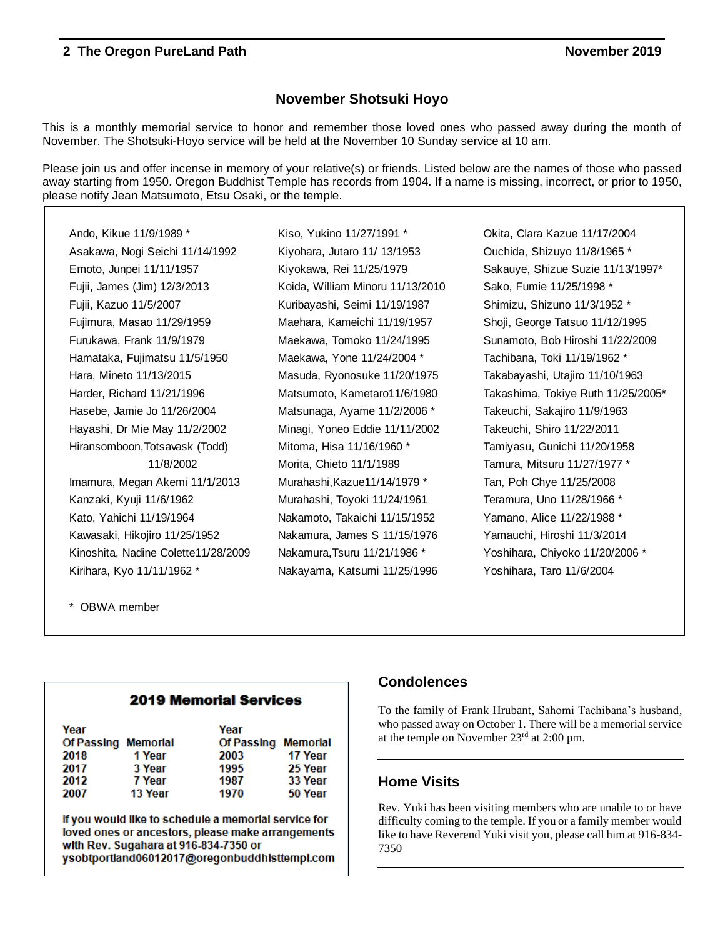### **November Shotsuki Hoyo**

This is a monthly memorial service to honor and remember those loved ones who passed away during the month of November. The Shotsuki-Hoyo service will be held at the November 10 Sunday service at 10 am.

Please join us and offer incense in memory of your relative(s) or friends. Listed below are the names of those who passed away starting from 1950. Oregon Buddhist Temple has records from 1904. If a name is missing, incorrect, or prior to 1950, please notify Jean Matsumoto, Etsu Osaki, or the temple.

Ando, Kikue 11/9/1989 \* Kiso, Yukino 11/27/1991 \* Okita, Clara Kazue 11/17/2004 Asakawa, Nogi Seichi 11/14/1992 Kiyohara, Jutaro 11/ 13/1953 Ouchida, Shizuyo 11/8/1965 \* Emoto, Junpei 11/11/1957 Kiyokawa, Rei 11/25/1979 Sakauye, Shizue Suzie 11/13/1997\* Fujii, James (Jim) 12/3/2013 Koida, William Minoru 11/13/2010 Sako, Fumie 11/25/1998 \* Fujii, Kazuo 11/5/2007 Kuribayashi, Seimi 11/19/1987 Shimizu, Shizuno 11/3/1952 \* Fujimura, Masao 11/29/1959 Maehara, Kameichi 11/19/1957 Shoji, George Tatsuo 11/12/1995 Furukawa, Frank 11/9/1979 Maekawa, Tomoko 11/24/1995 Sunamoto, Bob Hiroshi 11/22/2009 Hamataka, Fujimatsu 11/5/1950 Maekawa, Yone 11/24/2004 \* Tachibana, Toki 11/19/1962 \* Hara, Mineto 11/13/2015 Masuda, Ryonosuke 11/20/1975 Takabayashi, Utajiro 11/10/1963 Harder, Richard 11/21/1996 Matsumoto, Kametaro11/6/1980 Takashima, Tokiye Ruth 11/25/2005\* Hasebe, Jamie Jo 11/26/2004 Matsunaga, Ayame 11/2/2006 \* Takeuchi, Sakajiro 11/9/1963 Hayashi, Dr Mie May 11/2/2002 Minagi, Yoneo Eddie 11/11/2002 Takeuchi, Shiro 11/22/2011 Hiransomboon,Totsavask (Todd) Mitoma, Hisa 11/16/1960 \* Tamiyasu, Gunichi 11/20/1958 Imamura, Megan Akemi 11/1/2013 Murahashi,Kazue11/14/1979 \* Tan, Poh Chye 11/25/2008 Kanzaki, Kyuji 11/6/1962 Murahashi, Toyoki 11/24/1961 Teramura, Uno 11/28/1966 \* Kato, Yahichi 11/19/1964 Nakamoto, Takaichi 11/15/1952 Yamano, Alice 11/22/1988 \* Kawasaki, Hikojiro 11/25/1952 Nakamura, James S 11/15/1976 Yamauchi, Hiroshi 11/3/2014 Kinoshita, Nadine Colette11/28/2009 Nakamura,Tsuru 11/21/1986 \* Yoshihara, Chiyoko 11/20/2006 \* Kirihara, Kyo 11/11/1962 \* Nakayama, Katsumi 11/25/1996 Yoshihara, Taro 11/6/2004

11/8/2002 Morita, Chieto 11/1/1989 Tamura, Mitsuru 11/27/1977 \*

\* OBWA member

### **2019 Memorial Services**

| Year                |         | Year                |         |
|---------------------|---------|---------------------|---------|
| Of Passing Memorial |         | Of Passing Memorial |         |
| 2018                | 1 Year  | 2003                | 17 Year |
| 2017                | 3 Year  | 1995                | 25 Year |
| 2012                | 7 Year  | 1987                | 33 Year |
| 2007                | 13 Year | 1970                | 50 Year |

If you would like to schedule a memorial service for loved ones or ancestors, please make arrangements with Rev. Sugahara at 916-834-7350 or ysobtportland06012017@oregonbuddhisttempl.com

### **Condolences**

To the family of Frank Hrubant, Sahomi Tachibana's husband, who passed away on October 1. There will be a memorial service at the temple on November 23rd at 2:00 pm.

### **Home Visits**

Rev. Yuki has been visiting members who are unable to or have difficulty coming to the temple. If you or a family member would like to have Reverend Yuki visit you, please call him at 916-834- 7350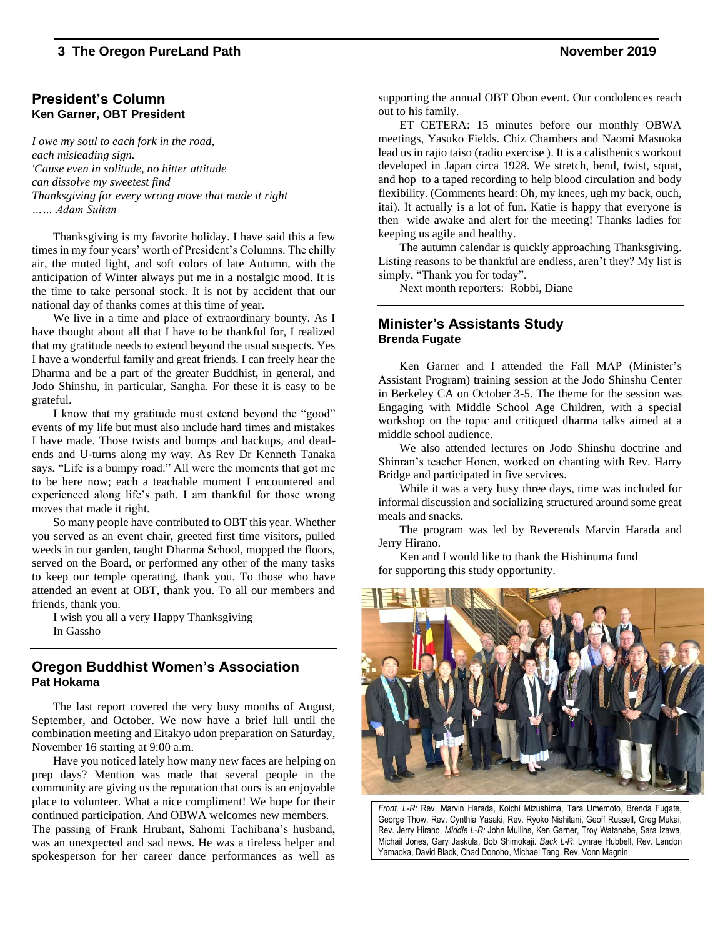### **President's Column Ken Garner, OBT President**

*I owe my soul to each fork in the road, each misleading sign. 'Cause even in solitude, no bitter attitude can dissolve my sweetest find Thanksgiving for every wrong move that made it right …… Adam Sultan*

Thanksgiving is my favorite holiday. I have said this a few times in my four years' worth of President's Columns. The chilly air, the muted light, and soft colors of late Autumn, with the anticipation of Winter always put me in a nostalgic mood. It is the time to take personal stock. It is not by accident that our national day of thanks comes at this time of year.

We live in a time and place of extraordinary bounty. As I have thought about all that I have to be thankful for, I realized that my gratitude needs to extend beyond the usual suspects. Yes I have a wonderful family and great friends. I can freely hear the Dharma and be a part of the greater Buddhist, in general, and Jodo Shinshu, in particular, Sangha. For these it is easy to be grateful.

I know that my gratitude must extend beyond the "good" events of my life but must also include hard times and mistakes I have made. Those twists and bumps and backups, and deadends and U-turns along my way. As Rev Dr Kenneth Tanaka says, "Life is a bumpy road." All were the moments that got me to be here now; each a teachable moment I encountered and experienced along life's path. I am thankful for those wrong moves that made it right.

So many people have contributed to OBT this year. Whether you served as an event chair, greeted first time visitors, pulled weeds in our garden, taught Dharma School, mopped the floors, served on the Board, or performed any other of the many tasks to keep our temple operating, thank you. To those who have attended an event at OBT, thank you. To all our members and friends, thank you.

I wish you all a very Happy Thanksgiving In Gassho

### **Oregon Buddhist Women's Association Pat Hokama**

The last report covered the very busy months of August, September, and October. We now have a brief lull until the combination meeting and Eitakyo udon preparation on Saturday, November 16 starting at 9:00 a.m.

Have you noticed lately how many new faces are helping on prep days? Mention was made that several people in the community are giving us the reputation that ours is an enjoyable place to volunteer. What a nice compliment! We hope for their continued participation. And OBWA welcomes new members. The passing of Frank Hrubant, Sahomi Tachibana's husband, was an unexpected and sad news. He was a tireless helper and spokesperson for her career dance performances as well as supporting the annual OBT Obon event. Our condolences reach out to his family.

ET CETERA: 15 minutes before our monthly OBWA meetings, Yasuko Fields. Chiz Chambers and Naomi Masuoka lead us in rajio taiso (radio exercise ). It is a calisthenics workout developed in Japan circa 1928. We stretch, bend, twist, squat, and hop to a taped recording to help blood circulation and body flexibility. (Comments heard: Oh, my knees, ugh my back, ouch, itai). It actually is a lot of fun. Katie is happy that everyone is then wide awake and alert for the meeting! Thanks ladies for keeping us agile and healthy.

The autumn calendar is quickly approaching Thanksgiving. Listing reasons to be thankful are endless, aren't they? My list is simply, "Thank you for today".

Next month reporters: Robbi, Diane

### **Minister's Assistants Study Brenda Fugate**

Ken Garner and I attended the Fall MAP (Minister's Assistant Program) training session at the Jodo Shinshu Center in Berkeley CA on October 3-5. The theme for the session was Engaging with Middle School Age Children, with a special workshop on the topic and critiqued dharma talks aimed at a middle school audience.

We also attended lectures on Jodo Shinshu doctrine and Shinran's teacher Honen, worked on chanting with Rev. Harry Bridge and participated in five services.

While it was a very busy three days, time was included for informal discussion and socializing structured around some great meals and snacks.

The program was led by Reverends Marvin Harada and Jerry Hirano.

Ken and I would like to thank the Hishinuma fund for supporting this study opportunity.



*Front, L-R:* Rev. Marvin Harada, Koichi Mizushima, Tara Umemoto, Brenda Fugate, George Thow, Rev. Cynthia Yasaki, Rev. Ryoko Nishitani, Geoff Russell, Greg Mukai, Rev. Jerry Hirano, *Middle L-R:* John Mullins, Ken Garner, Troy Watanabe, Sara Izawa, Michail Jones, Gary Jaskula, Bob Shimokaji. *Back L-R*: Lynrae Hubbell, Rev. Landon Yamaoka, David Black, Chad Donoho, Michael Tang, Rev. Vonn Magnin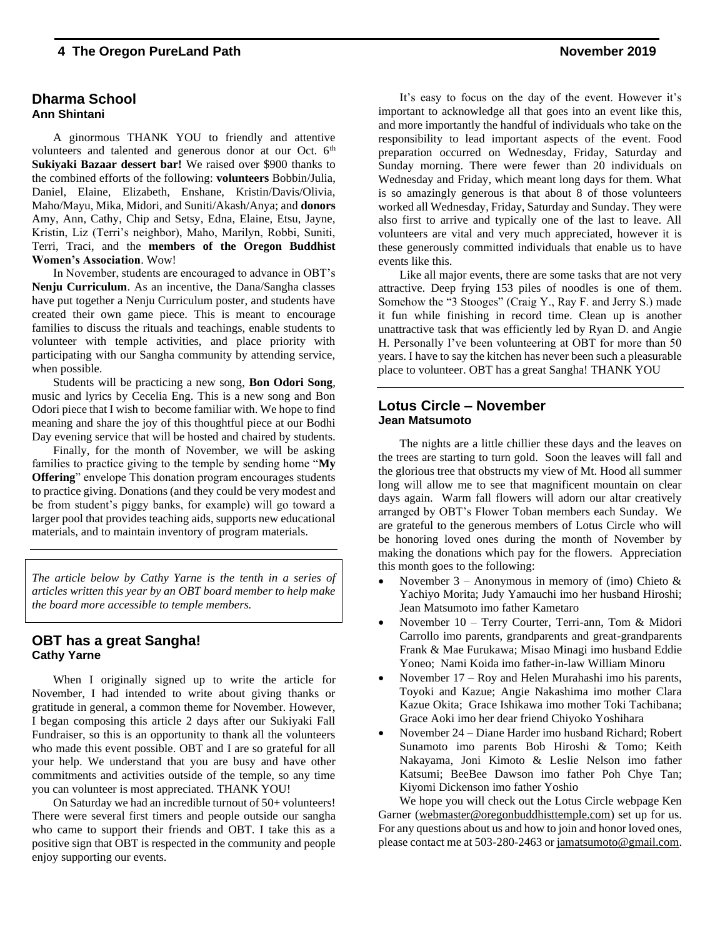### **Dharma School Ann Shintani**

A ginormous THANK YOU to friendly and attentive volunteers and talented and generous donor at our Oct. 6<sup>th</sup> **Sukiyaki Bazaar dessert bar!** We raised over \$900 thanks to the combined efforts of the following: **volunteers** Bobbin/Julia, Daniel, Elaine, Elizabeth, Enshane, Kristin/Davis/Olivia, Maho/Mayu, Mika, Midori, and Suniti/Akash/Anya; and **donors** Amy, Ann, Cathy, Chip and Setsy, Edna, Elaine, Etsu, Jayne, Kristin, Liz (Terri's neighbor), Maho, Marilyn, Robbi, Suniti, Terri, Traci, and the **members of the Oregon Buddhist Women's Association**. Wow!

In November, students are encouraged to advance in OBT's **Nenju Curriculum**. As an incentive, the Dana/Sangha classes have put together a Nenju Curriculum poster, and students have created their own game piece. This is meant to encourage families to discuss the rituals and teachings, enable students to volunteer with temple activities, and place priority with participating with our Sangha community by attending service, when possible.

Students will be practicing a new song, **Bon Odori Song**, music and lyrics by Cecelia Eng. This is a new song and Bon Odori piece that I wish to become familiar with. We hope to find meaning and share the joy of this thoughtful piece at our Bodhi Day evening service that will be hosted and chaired by students.

Finally, for the month of November, we will be asking families to practice giving to the temple by sending home "**My Offering**" envelope This donation program encourages students to practice giving. Donations (and they could be very modest and be from student's piggy banks, for example) will go toward a larger pool that provides teaching aids, supports new educational materials, and to maintain inventory of program materials.

*The article below by Cathy Yarne is the tenth in a series of articles written this year by an OBT board member to help make the board more accessible to temple members.*

### **OBT has a great Sangha! Cathy Yarne**

When I originally signed up to write the article for November, I had intended to write about giving thanks or gratitude in general, a common theme for November. However, I began composing this article 2 days after our Sukiyaki Fall Fundraiser, so this is an opportunity to thank all the volunteers who made this event possible. OBT and I are so grateful for all your help. We understand that you are busy and have other commitments and activities outside of the temple, so any time you can volunteer is most appreciated. THANK YOU!

On Saturday we had an incredible turnout of 50+ volunteers! There were several first timers and people outside our sangha who came to support their friends and OBT. I take this as a positive sign that OBT is respected in the community and people enjoy supporting our events.

It's easy to focus on the day of the event. However it's important to acknowledge all that goes into an event like this, and more importantly the handful of individuals who take on the responsibility to lead important aspects of the event. Food preparation occurred on Wednesday, Friday, Saturday and Sunday morning. There were fewer than 20 individuals on Wednesday and Friday, which meant long days for them. What is so amazingly generous is that about 8 of those volunteers worked all Wednesday, Friday, Saturday and Sunday. They were also first to arrive and typically one of the last to leave. All volunteers are vital and very much appreciated, however it is these generously committed individuals that enable us to have events like this.

Like all major events, there are some tasks that are not very attractive. Deep frying 153 piles of noodles is one of them. Somehow the "3 Stooges" (Craig Y., Ray F. and Jerry S.) made it fun while finishing in record time. Clean up is another unattractive task that was efficiently led by Ryan D. and Angie H. Personally I've been volunteering at OBT for more than 50 years. I have to say the kitchen has never been such a pleasurable place to volunteer. OBT has a great Sangha! THANK YOU

#### **Lotus Circle – November Jean Matsumoto**

The nights are a little chillier these days and the leaves on the trees are starting to turn gold. Soon the leaves will fall and the glorious tree that obstructs my view of Mt. Hood all summer long will allow me to see that magnificent mountain on clear days again. Warm fall flowers will adorn our altar creatively arranged by OBT's Flower Toban members each Sunday. We are grateful to the generous members of Lotus Circle who will be honoring loved ones during the month of November by making the donations which pay for the flowers. Appreciation this month goes to the following:

- November 3 Anonymous in memory of (imo) Chieto  $\&$ Yachiyo Morita; Judy Yamauchi imo her husband Hiroshi; Jean Matsumoto imo father Kametaro
- November 10 Terry Courter, Terri-ann, Tom & Midori Carrollo imo parents, grandparents and great-grandparents Frank & Mae Furukawa; Misao Minagi imo husband Eddie Yoneo; Nami Koida imo father-in-law William Minoru
- November 17 Roy and Helen Murahashi imo his parents, Toyoki and Kazue; Angie Nakashima imo mother Clara Kazue Okita; Grace Ishikawa imo mother Toki Tachibana; Grace Aoki imo her dear friend Chiyoko Yoshihara
- November 24 Diane Harder imo husband Richard; Robert Sunamoto imo parents Bob Hiroshi & Tomo; Keith Nakayama, Joni Kimoto & Leslie Nelson imo father Katsumi; BeeBee Dawson imo father Poh Chye Tan; Kiyomi Dickenson imo father Yoshio

We hope you will check out the Lotus Circle webpage Ken Garner [\(webmaster@oregonbuddhisttemple.com\)](mailto:webmaster@oregonbuddhisttemple.com) set up for us. For any questions about us and how to join and honor loved ones, please contact me at 503-280-2463 o[r jamatsumoto@gmail.com.](mailto:jamatsumoto@gmail.com)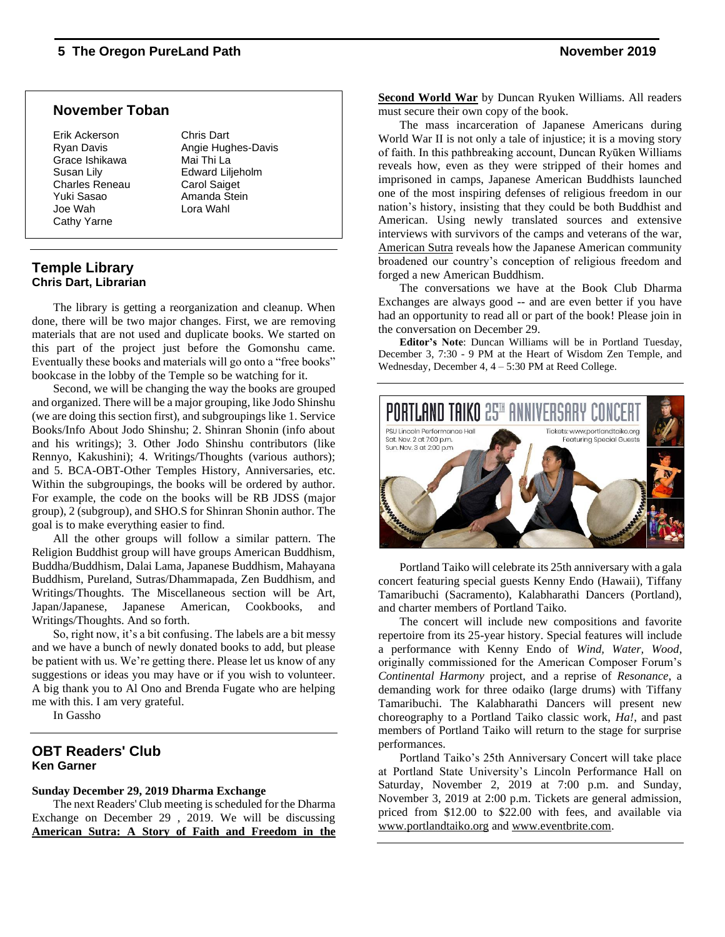### **November Toban**

Erik Ackerson Chris Dart Grace Ishikawa Mai Thi La Susan Lily Edward Liljeholm Charles Reneau Carol Saiget Yuki Sasao **Amanda Stein** Joe Wah Lora Wahl Cathy Yarne

Ryan Davis **Angie Hughes-Davis** 

### **Temple Library Chris Dart, Librarian**

The library is getting a reorganization and cleanup. When done, there will be two major changes. First, we are removing materials that are not used and duplicate books. We started on this part of the project just before the Gomonshu came. Eventually these books and materials will go onto a "free books" bookcase in the lobby of the Temple so be watching for it.

Second, we will be changing the way the books are grouped and organized. There will be a major grouping, like Jodo Shinshu (we are doing this section first), and subgroupings like 1. Service Books/Info About Jodo Shinshu; 2. Shinran Shonin (info about and his writings); 3. Other Jodo Shinshu contributors (like Rennyo, Kakushini); 4. Writings/Thoughts (various authors); and 5. BCA-OBT-Other Temples History, Anniversaries, etc. Within the subgroupings, the books will be ordered by author. For example, the code on the books will be RB JDSS (major group), 2 (subgroup), and SHO.S for Shinran Shonin author. The goal is to make everything easier to find.

All the other groups will follow a similar pattern. The Religion Buddhist group will have groups American Buddhism, Buddha/Buddhism, Dalai Lama, Japanese Buddhism, Mahayana Buddhism, Pureland, Sutras/Dhammapada, Zen Buddhism, and Writings/Thoughts. The Miscellaneous section will be Art, Japan/Japanese, Japanese American, Cookbooks, and Writings/Thoughts. And so forth.

So, right now, it's a bit confusing. The labels are a bit messy and we have a bunch of newly donated books to add, but please be patient with us. We're getting there. Please let us know of any suggestions or ideas you may have or if you wish to volunteer. A big thank you to Al Ono and Brenda Fugate who are helping me with this. I am very grateful.

In Gassho

### **OBT Readers' Club Ken Garner**

### **Sunday December 29, 2019 Dharma Exchange**

The next Readers' Club meeting is scheduled for the Dharma Exchange on December 29 , 2019. We will be discussing **American Sutra: A Story of Faith and Freedom in the**

**Second World War** by Duncan Ryuken Williams. All readers must secure their own copy of the book.

The mass incarceration of Japanese Americans during World War II is not only a tale of injustice; it is a moving story of faith. In this pathbreaking account, Duncan Ryūken Williams reveals how, even as they were stripped of their homes and imprisoned in camps, Japanese American Buddhists launched one of the most inspiring defenses of religious freedom in our nation's history, insisting that they could be both Buddhist and American. Using newly translated sources and extensive interviews with survivors of the camps and veterans of the war, American Sutra reveals how the Japanese American community broadened our country's conception of religious freedom and forged a new American Buddhism.

The conversations we have at the Book Club Dharma Exchanges are always good -- and are even better if you have had an opportunity to read all or part of the book! Please join in the conversation on December 29.

**Editor's Note**: Duncan Williams will be in Portland Tuesday, December 3, 7:30 - 9 PM at the Heart of Wisdom Zen Temple, and Wednesday, December 4, 4 – 5:30 PM at Reed College.



Portland Taiko will celebrate its 25th anniversary with a gala concert featuring special guests Kenny Endo (Hawaii), Tiffany Tamaribuchi (Sacramento), Kalabharathi Dancers (Portland), and charter members of Portland Taiko.

The concert will include new compositions and favorite repertoire from its 25-year history. Special features will include a performance with Kenny Endo of *Wind, Water, Wood*, originally commissioned for the American Composer Forum's *Continental Harmony* project, and a reprise of *Resonance*, a demanding work for three odaiko (large drums) with Tiffany Tamaribuchi. The Kalabharathi Dancers will present new choreography to a Portland Taiko classic work, *Ha!*, and past members of Portland Taiko will return to the stage for surprise performances.

Portland Taiko's 25th Anniversary Concert will take place at Portland State University's Lincoln Performance Hall on Saturday, November 2, 2019 at 7:00 p.m. and Sunday, November 3, 2019 at 2:00 p.m. Tickets are general admission, priced from \$12.00 to \$22.00 with fees, and available via [www.portlandtaiko.org](http://www.portlandtaiko.org/) and [www.eventbrite.com.](http://www.eventbrite.com/)